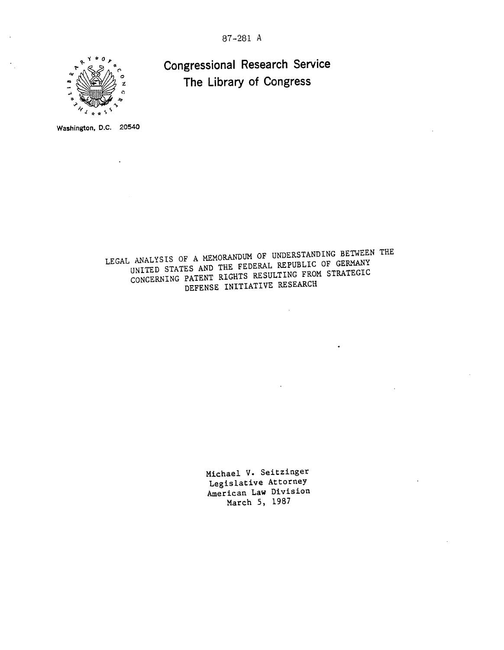87-281 A



Congressional Research Service The Library of Congress

Washington, **D.C.** 20540

LEGAL ANALYSIS OF A MEMORANDUM OF UNDERSTANDING BETWEEN THE UNITED STATES AND THE FEDERAL REPUBLIC OF GERMANY CONCERNING PATENT RIGHTS RESULTING FROM STRATEGIC DEFENSE INITIATIVE RESEARCH

> Michael V. Seitzinger Legislative Attorney American Law Division March 5, 1987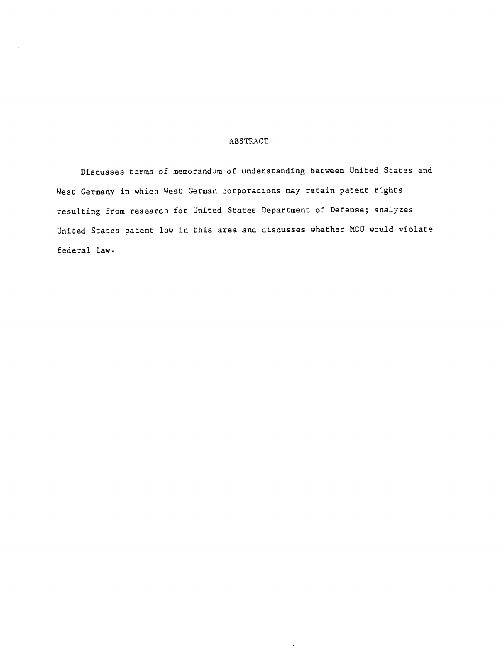# ABSTRACT

Discusses terms of memorandum of understanding between United States and West Germany in which West German corporations may retain patent rights resulting from research for United States Department of Defense; analyzes United States patent law in this area and discusses whether MOU would violate federal law.

 $\ddot{\phantom{a}}$ 

 $\sim 10$ 

 $\sim$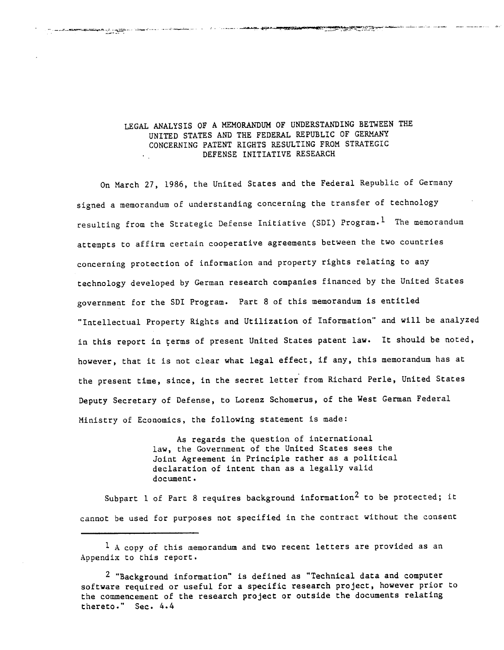# LEGAL ANALYSIS OF A MEMORANDUM OF UNDERSTANDING BETWEEN THE UNITED STATES AND THE FEDERAL REPUBLIC OF GERMANY CONCERNING PATENT RIGHTS RESULTING FROM STRATEGIC DEFENSE INITIATIVE RESEARCH

**BEATHING RANGE** 

القاران والمستشرق وستفرغ

On March 27, 1986, the United States and the Federal Republic of Germany signed a memorandum of understanding concerning the transfer of technology resulting from the Strategic Defense Initiative (SDI) Program.<sup>1</sup> The memorandum attempts to affirm certain cooperative agreements between the two countries concerning protection of information and property rights relating to any technology developed by German research companies financed by the United States government for the SDI Program. Part 8 of this memorandum is entitled "Intellectual Property Rights and Utilization of Information" and will be analyzed in this report in terms of present United States patent law. It should be noted, however, that it is not clear what legal effect, if any, this memorandum has at the present time, since, in the secret letter from Richard Perle, United States Deputy Secretary of Defense, to Lorenz Schomerus, of the West German Federal Ministry of Economics, the following statement is made:

> As regards the question of international law, the Government of the United States sees the Joint Agreement in Principle rather as a political declaration of intent than as a legally valid document.

Subpart 1 of Part 8 requires background information<sup>2</sup> to be protected; it cannot be used for purposes not specified in the contract without the consent

 $<sup>1</sup>$  A copy of this memorandum and two recent letters are provided as an</sup> Appendix to this report.

<sup>&</sup>lt;sup>2</sup> "Background information" is defined as "Technical data and computer software required or useful for a specific research project, however prior to the commencement of the research project or outside the documents relating thereto." Sec. 4.4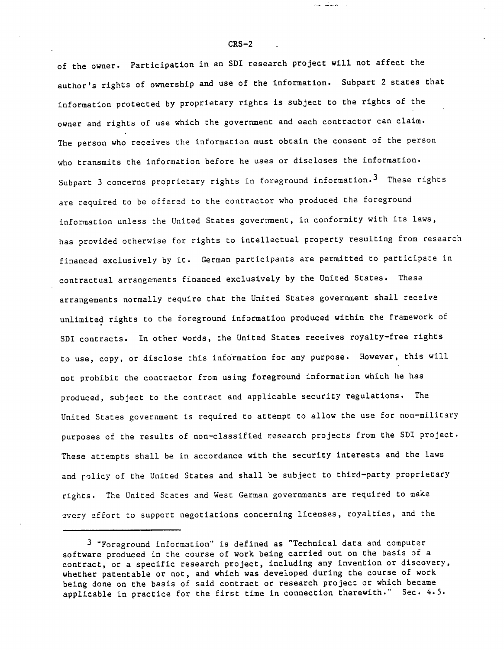of the owner. Participation in an SDI research project will not affect the author's rights of ownership and use of the information. Subpart 2 states that information protected by proprietary rights is subject to the rights of the owner and rights of use which the government and each contractor can claim. The person who receives the information must obtain the consent of the person who transmits the information before he uses or discloses the information. Subpart 3 concerns proprietary rights in foreground information.<sup>3</sup> These rights are required to be offered to the contractor who produced the foreground information unless the United States government, in conformity with its laws, has provided otherwise for rights to intellectual property resulting from research financed exclusively by it. German participants are permitted to participate in contractual arrangements financed exclusively by the United States. These arrangements normally require that the United States government shall receive unlimited rights to the foreground information produced within the framework of SDI contracts. In other words, the United States receives royalty-free rights to use, copy, or disclose this information for any purpose. However, this will not prohibit the contractor from using foreground information which he has produced, subject to the contract and applicable security regulations. The United States government is required to attempt to allow the use for non-military purposes of the results of non-classified research projects from the SDI project. These attempts shall be in accordance with the security interests and the laws and policy of the United States and shall be subject to third-party proprietary rights. The United States and West German governments are required to make every effort to support negotiations concerning licenses, royalties, and the

المتشابيب

<sup>3 &</sup>quot;Foreground information" is defined as "Technical data and computer software produced in the course of work being carried out on the basis of a contract, or a specific research project, including any invention or discovery, whether patentable or not, and which was developed during the course of work being done on the basis of said contract or research project or which became applicable in practice for the first time in connection therewith." Sec. 4.5.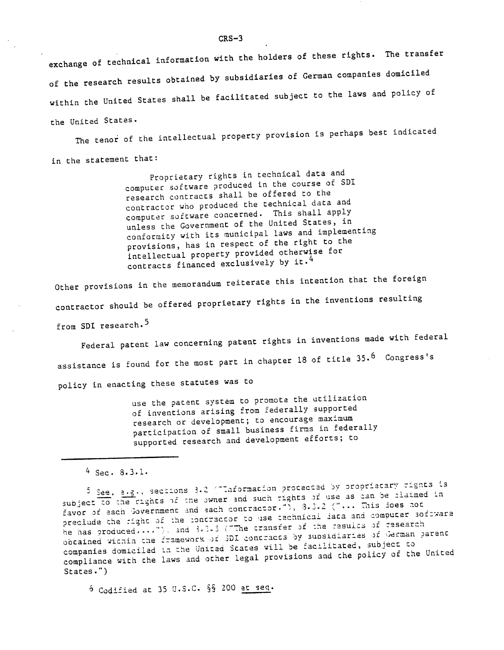exchange of technical information with the holders of these rights. The transfer of the research results obtained by subsidiaries of German companies domiciled within the United States shall be facilitated subject to the laws and policy of the United States.

The tenor of the intellectual property provision is perhaps best indicated in the statement that:

> Proprietary rights in technical data and computer software produced in the course of SDI research contracts shall be offered to the contractor who produced the technical data and computer software concerned. This shall apply unless the Government of the United States, in conformity with its municipal laws and implementing provisions, has in respect of the right to the intellectual property provided otherwise for contracts financed exclusively by it.<sup>4</sup>

Other provisions in the memorandum reiterate this intention that the foreign contractor should be offered proprietary rights in the inventions resulting from SDI research.<sup>5</sup>

Federal patent law concerning patent rights in inventions made with federal assistance is found for the most part in chapter 18 of title 35.<sup>6</sup> Congress's policy in enacting these statutes was to

> use the patent system to promote the utilization of inventions arising from federally supported research or development; to encourage maximum participation of small business firms in federally supported research and development efforts; to

 $4$  Sec. 8.3.1.

5 See, a.g., sections 3.2 ("Information protected by proprietary rights is subject to the rights of the owner and such rights of use as can be claimed in favor of each Government and each contractor."), 3.3.2 ("... This does not preclude the right of the contractor to use technical iata and computer software he has produced...."), and 3.3.5 ("The cransfer of the results of research obcained within the framework of SDI contracts by subsidiaries of German parent companies domiciled in the United States will be facilitated, subject to compliance with the laws and other legal provisions and the policy of the United  $Stats.")$ 

6 Codified at 35 U.S.C. §§ 200 et seq.

 $CRS-3$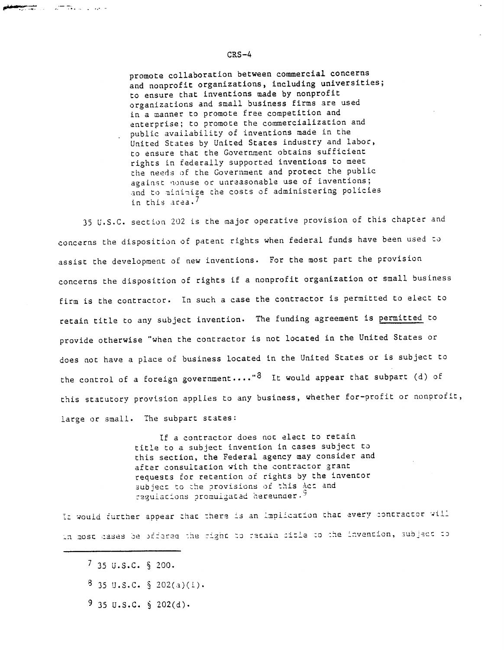promote collaboration between commercial concerns and nonprofit organizations, including universities; to ensure that inventions made by nonprofit organizations and small business firms are used in a manner to promote free competition and enterprise; to promote the commercialization and public availability of inventions made in the United States by United States industry and labor, to ensure that the Government obtains sufficient rights in federally supported inventions to meet the needs of the Government and protect the public against nonuse or unreasonable use of inventions; and to minimize the costs of administering policies in this area.<sup>7</sup>

35 U.S.C. section 202 is the major operative provision of this chapter and concerns the disposition of patent rights when federal funds have been used to assist the development of new inventions. For the most part the provision concerns the disposition of rights if a nonprofit organization or small business firm is the contractor. In such a case the contractor is permitted to elect to retain title to any subject invention. The funding agreement is permitted to provide otherwise "when the contractor is not located in the United States or does not have a place of business located in the United States or is subject to the control of a foreign government...." $8$  It would appear that subpart (d) of this statutory provision applies to any business, whether for-profit or nonprofit, large or small. The subpart states:

> If a contractor does not elect to retain title to a subject invention in cases subject to this section, the Federal agency may consider and after consultation with the contractor grant requests for retention of rights by the inventor subject to the provisions of this Act and regulacions promulgated hereunder.<sup>9</sup>

IE would further appear that there is an implication that every contractor will in most cases be prfered the fight to retain citle to the invention, subject to

**Mentan** di Summadia di Paka

- $8$  35 U.S.C. § 202(a)(i).
- $9$  35 U.S.C. § 202(d).

## CRS-4

 $7$  35 U.S.C. § 200.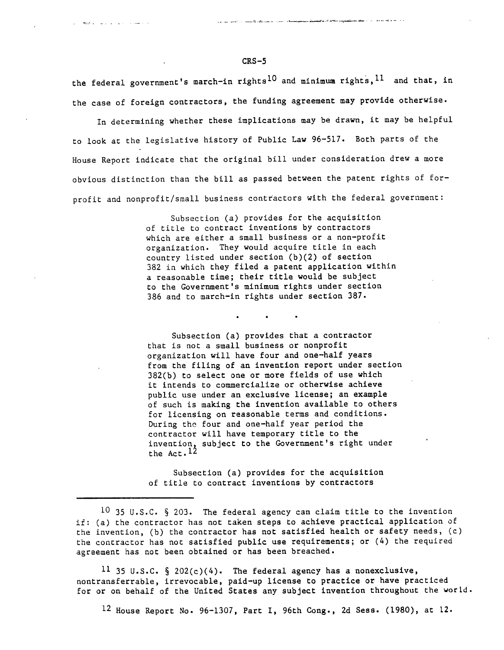the federal government's march-in rights<sup>10</sup> and minimum rights, <sup>11</sup> and that, in the case of foreign contractors, the funding agreement may provide otherwise.

In determining whether these implications may be drawn, it may be helpful to look at the legislative history of Public Law 96-517. Both parts of the House Report indicate that the original bill under consideration drew a more obvious distinction than the bill as passed between the patent rights of forprofit and nonprofit/small business contractors with the federal government:

> Subsection (a) provides for the acquisition of title to contract inventions by contractors which are either a small business or a non-profit organization. They would acquire title in each country listed under section (b)(2) of section 382 in which they filed a patent application within a reasonable time; their title would be subject to the Government's minimum rights under section 386 and to march-in rights under section 387.

Subsection (a) provides that a contractor that is not a small business or nonprofit organization will have four and one-half years from the filing of an invention report under section 382(b) to select one or more fields of use which it intends to commercialize or otherwise achieve public use under an exclusive license; an example of such is making the invention available to others for licensing on reasonable terms and conditions. During the four and one-half year period the contractor will have temporary title to the invention, subject to the Government's right under the  $Act.$ <sup>12</sup>

Subsection (a) provides for the acquisition of title to contract inventions by contractors

11 35 U.S.C.  $\S$  202(c)(4). The federal agency has a nonexclusive, nontransferrable, irrevocable, paid-up license to practice or have practiced for or on behalf of the United States any subject invention throughout the world.

12 House Report No. 96-1307, Part I, 96th Cong., 2d Sess. (1980), at 12.

CRS-5

والمسترور والأناوي والمتارين ويعودن

<sup>10 35</sup> U.S.C.  $\S$  203. The federal agency can claim title to the invention if: (a) the contractor has not taken steps to achieve practical application of the invention, (b) the contractor has not satisfied health or safety needs, (c) the contractor has not satisfied public use requirements; or (4) the required agreement has not been obtained or has been breached.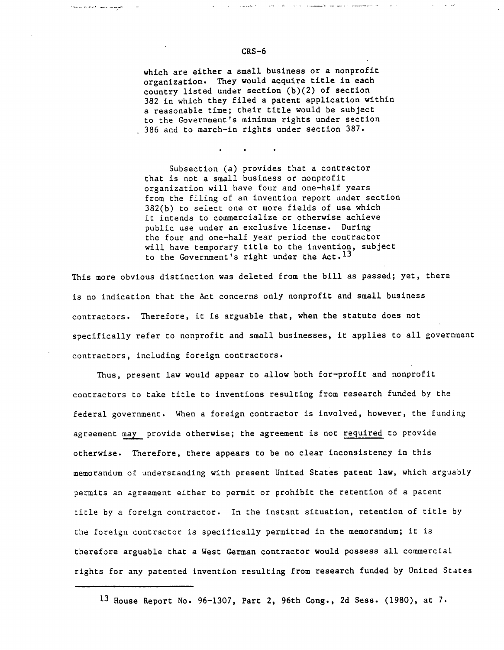which are either a small business or a nonprofit organization. They would acquire title in each country listed under section (b)(2) of section 382 in which they filed a patent application within a reasonable time; their title would be subject to the Government's minimum rights under section 386 and to march-in rights under section 387.

, where  $\sigma_{\rm c} = 1.06$  , where the contract department is a second contract of the contract of the contract of the contract of the contract of the contract of the contract of the contract of the contract of the contract

 $\mu_{\rm{max}}=1.2\pm 0.2$ 

Subsection (a) provides that a contractor that is not a small business or nonprofit organization will have four and one-half years from the filing of an invention report under section 382(b) to select one or more fields of use which it intends to commercialize or otherwise achieve public use under an exclusive license. During the four and one-half year period the contractor will have temporary title to the invention, subject to the Government's right under the  $Act. <sup>13</sup>$ 

This more obvious distinction was deleted from the bill as passed; yet, there is no indication that the Act concerns only nonprofit and small business contractors. Therefore, it is arguable that, when the statute does not specifically refer to nonprofit and small businesses, it applies to all government contractors, including foreign contractors.

Thus, present law would appear to allow both for-profit and nonprofit contractors to take title to inventions resulting from research funded by the federal government. When a foreign contractor is involved, however, the funding agreement may provide otherwise; the agreement is not required to provide otherwise. Therefore, there appears to be no clear inconsistency in this memorandum of understanding with present United States patent law, which arguably permits an agreement either to permit or prohibit the retention of a patent title by a foreign contractor. In the instant situation, retention of title by the foreign contractor is specifically permitted in the memorandum; it is therefore arguable that a West German contractor would possess all commercial rights for any patented invention resulting from research funded by United States

#### CRS-6

الموسود بالمدافعات للاعاد

<sup>13</sup> House Report No. 96-1307, Part 2, 96th Cong., 2d Sess. (1980), at 7.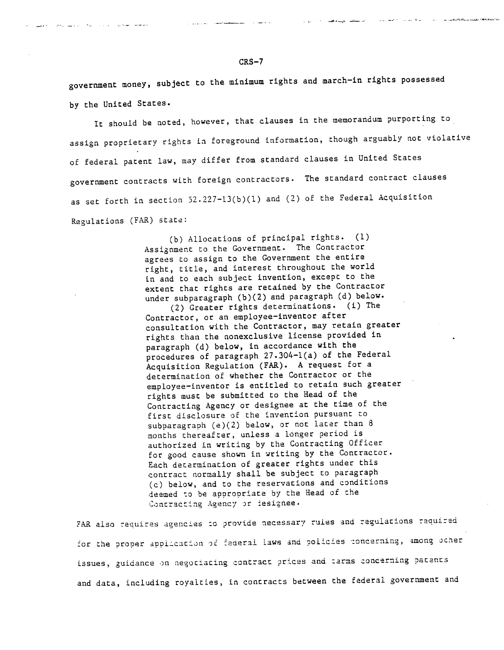government money, subject to the minimum rights and march-in rights possessed by the United States.

 $-$  --C- $\pi$ -- $-$ - $\pm$ 

It should be noted, however, that clauses in the memorandum purporting to assign proprietary rights in foreground information, though arguably not violative of federal patent law, may differ from standard clauses in United States government contracts with foreign contractors. The standard contract clauses as set forth in section 52.227-13(b)(1) and (2) of the Federal Acquisition Regulations (FAR) state:

> (b) Allocations of principal rights. (1) Assignment to the Government. The Contractor agrees to assign to the Government the entire right, title, and interest throughout the world in and to each subject invention, except to the extent that rights are retained by the Contractor under subparagraph (b)(2) and paragraph (d) below.

(2) Greater rights determinations. (i) The Contractor, or an employee-inventor after consultation with the Contractor, may retain greater rights than the nonexclusive license provided in paragraph (d) below, in accordance with the procedures of paragraph 27.304-1(a) of the Federal Acquisition Regulation (FAR). A request for a determination of whether the Contractor or the employee-inventor is entitled to retain such greater rights must be submitted to the Head of the Contracting Agency or designee at the time of the first disclosure of the invention pursuant to subparagraph (e)(2) below, or not later than 8 months thereafter, unless a longer period is authorized in writing by the Contracting Officer for good cause shown in writing by the Contractor. Each determination of greater rights under this contract normally shall be subject to paragraph (c) below, and to the reservations and conditions deemed to be appropriate by the Head of the Contracting Agency or iesignee.

FAR also requires agencies to provide necessary rules and regulations required for the proper appilication of federal laws and policies concerning, among ocher issues, guidance on negociacing contract prices and :arms concerning pacants and data, including royalties, in contracts between the federal government and

### **CRS-7**

المصطلب القطالية المتوادد والمتكار والمسور يتحلون الجعفس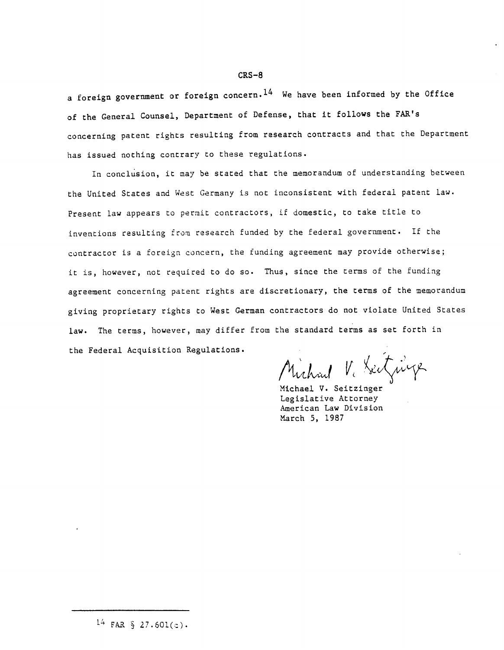a foreign government or foreign concern.<sup>14</sup> We have been informed by the Office of the General Counsel, Department of Defense, that it follows the FAR's concerning patent rights resulting from research contracts and that the Department has issued nothing contrary to these regulations.

In conclusion, it may be stated that the memorandum of understanding between the United States and West Germany is not inconsistent with federal patent law. Present law appears to permit contractors, if domestic, to take title to inventions resulting from research funded by the federal government. If the contractor is a foreign concern, the funding agreement may provide otherwise; it is, however, not required to do so. Thus, since the terms of the funding agreement concerning patent rights are discretionary, the terms of the memorandum giving proprietary rights to West German contractors do not violate United States law. The terms, however, may differ from the standard terms as set forth in the Federal Acquisition Regulations.

Michael V. Seitzüge

Michael V. Seitzinger Legislative Attorney American Law Division March **5,** 1987

<sup>14</sup> FAR  $\S$  27.601(c).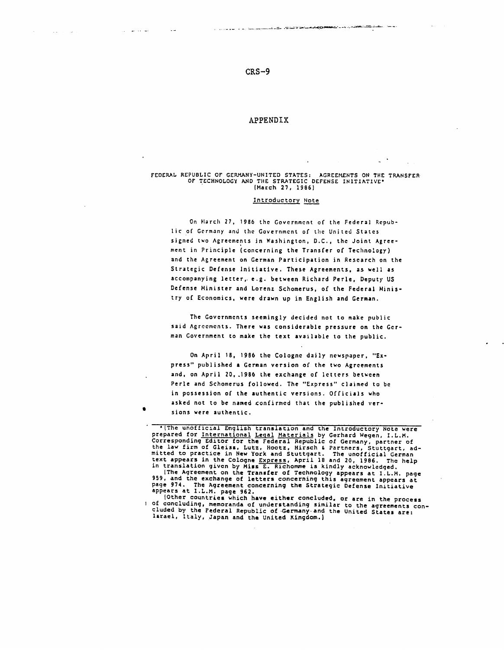المقامة مقاربات

**Carl Common** 

### APPENDIX

# FEDERAL REPUBLIC OF GERMANY-UNITED STATES: AGREEMENTS ON THE TRANSFER OF TECHNOLOGY AND THE STRATEGIC DEFENSE INITIATIVE\* (March 27, 1986)

- - .\_\_-; -- .- - ---- cYL;- .·h--i·L - -

#### Introductory Note

On March 27, 1986 the Government of the Federal Republic of Germany and the Government of the United States signed two Agreements in Washington, D.C., the Joint Agreement in Principle (concerning the Transfer of Technology) and the Agreement on German Participation in Research on the Strategic Defense Initiative. These Agreements, as well as accompanying letter, e.g. between Richard Perle, Deputy US Defense Minister and Lorenz Schomerus, of the Federal Ministry of Economics, were drawn up in English and German.

The Governments seemingly decided not to make public said Agreements. There was considerable pressure on the German Government to make the text available to the public.

On April 18, 1986 the Cologne daily newspaper, "Express" published a German version of the two Agreements and, on April 20,.1986 the exchange of letters between Perle and Schomerus followed. The "Express" claimed to be in possession of the authentic versions. Officials who asked not to be named confirmed that the published versions were authentic.

\*(The unofficial English translation and the Introductory Note were prepared for International Legal Materials by Gerhard Wegen, I.L.M. Corresponding Editor for the Federal Republic of Germany, partner of the law firm of Gleiss, Lutz, Hootz, Hirsch & Partners, Stuttgart, ad-<br>mitted to practice in New York and Stuttgart. The unofficial German mitted to practice in New York and Stuttgart. The unofficial German text appears in the Cologne Express, April 18 and 20, 1986. The help in translation given by Miss **E.** Richomme is kindly acknowledged. [The Agreement on the Transfer of Technology appears at I.L.M. page 959, and the exchange of letters concerning this agreement appears at page 974. The Agreement concerning the Strategic Defense Initiative appears at I.L.M. page 962.<br>| Other countries which have either concluded, or are in the process

I of concluding, memoranda of understanding similar to the agreements con-<br>cluded by the Federal Republic of Germany and the United States are:<br>Israel, Italy, Japan and the United Kingdom.]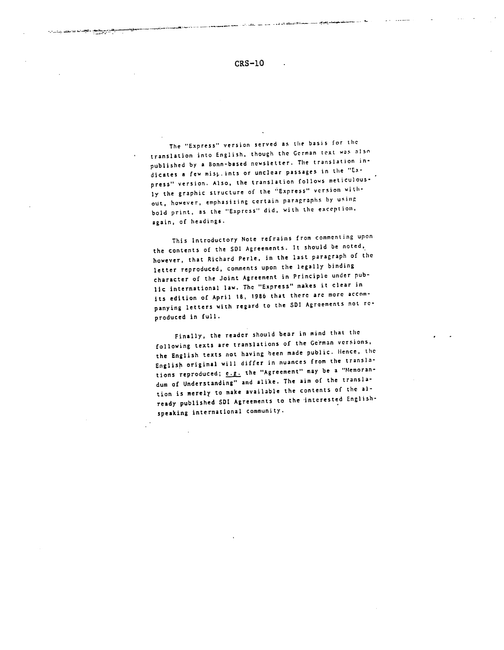CRS-10

المقدم فيتشكر التصافي وووور

The "Express" version served as the basis for the translation into English, though the German text was alsn published by a Bonn-based newsletter. The translation indicates a few misplints or unclear passages in the "Express" version. Also, the translation follows meticulously the graphic structure of the 'Express" version without, however, emphasizing certain paragraphs by using bold print, as the "Express" did, with the exception, again, of headings.

This Introductory Note refrains from commenting upon the contents of the SDI Agreements. It should be noted, however, that Richard Perle, in the last paragraph of the letter reproduced, comments upon the legally binding character of the Joint Agreement in Principle under public international law. The "Express" makes it clear in its edition of April 18, 1986 that there are more accompanying letters with regard to the SDI Agreements not reproduced in full.

Finally, the reader should bear in mind that the following texts are translations of the German versions, the English texts not having been made public. Hence, the English original will differ in nuances from the translations reproduced; e.g. the "Agreement" may be a "Memorandum of Understanding" and alike. The aim of the translation is merely to make available the contents of the already published SDI Agreements to the interested Englishspeaking international community.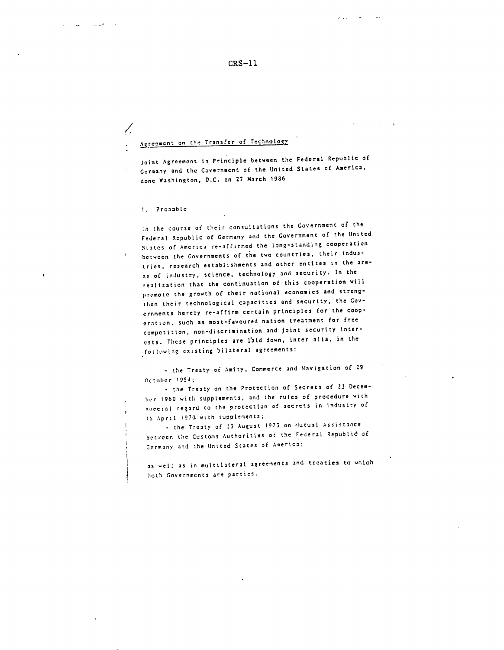CRS-11

 $\mathcal{P}^{\mathcal{A}}$  , and  $\mathcal{P}^{\mathcal{A}}$ 

# Agreement on the Transfer of Technology

Joint Agreement in Principle between the Federal Republic of Germany and the Government of the United States of America, done Washington, D.C. on 27 March <sup>1986</sup>

I. Preamble

Γ.

 $\cdot$ 

In the course of their consultations the Government **of** the Federal Republic of Germany and the Government of the United States of America re-affirmed the long-standing cooperation between the Governments of the two countries, their industries. research establishments and other entites in the areas of industry, science, technology and security. In the realization that the continuation of this cooperation will promote the growth of their national economies and strengthen their technological capacities and security, the Governments hereby re-affirm certain principles for the cooperation, such as most-favoured nation treatment for free competition, non-discrimination and joint security interests. These principles are laid down, inter alia, in the following existing bilateral agreements:

- the Treaty of Amity, Commerce and Navigation of 29 October 1954;

- the Treaty on the Protection of Secrets of 23 Decemher 1960 with supplements, and the rules of procedure with special regard to the protection of secrets in industry of **S1** April 1970 with supplements;

- the Treaty of 23 August 1973 on Mutual Assistance between the Customs Authorities of the Federal Republic of Germany and the United States of America;

as well as in multilateral agreements and treaties to which both Governments are parties.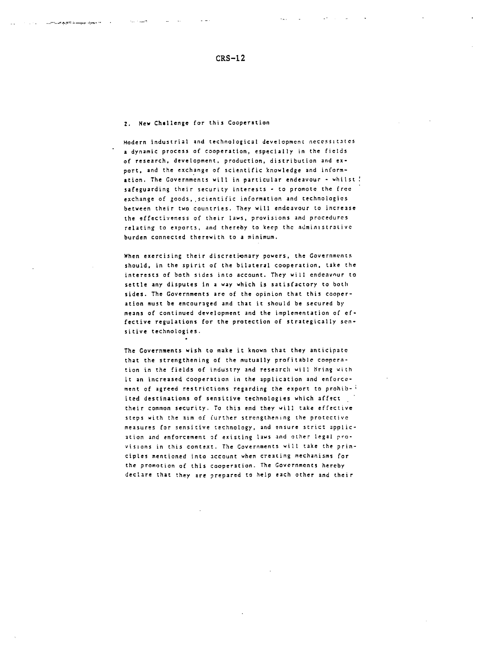المحاجم والموسوق المستنسب كالكافئة للمتحدث والمتجروري

Modern industrial and technological development necessitates a dynamic process of cooperation, especially in the fields of research, development, production, distribution and export, and the exchange of scientific knowledge and information. The Governments will in particular endeavour - whilst! safeguarding their security interests - to promote the free exchange of goods,,scientific information and technologies between their two countries. They will endeavour to increase the effectiveness of their laws, provisions and procedures relating to exports, and thereby to keep the administraLive burden connected therewith to a minimum.

When exercising their discretionary powers, the Governments should, in the spirit of the bilateral cooperation, take the interests of both sides into account. They will endeavour to settle any disputes in a way which is satisfactory to both sides. The Governments are of the opinion that this cooperation must be encouraged and that it should be secured by means of continued development and the implementation of effective regulations for the protection of strategically sensitive technologies.

The Governments wish to make it known that they anticipate that the strengthening of the mutually profitable cooperntion in the fields of industry and research will bring with it an increased cooperation in the application and enforcement of agreed restrictions regarding the export to prohibited destinations of sensitive technologies which affect their common security. To this end they will take effective steps with the aim of further strengthening the protective measures for sensitive technology, and ensure strict application and enforcement of existing laws and other legal provisions in this context. The Governments will take the principles mentioned into account when creating mechanisms for the promotion of this cooperation. The Governments hereby declare that they are prepared to help each other and their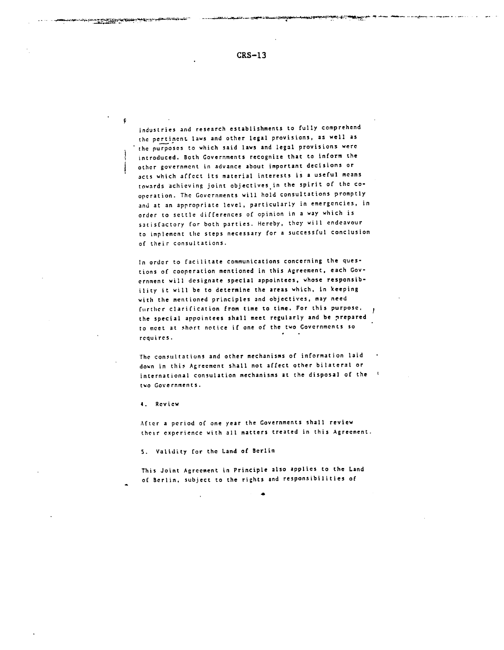industries and research establishments to fully comprehend the pertinent laws and other legal provisions, as well as the purposes to which said laws and legal provisions were introduced. Both Governments recognize that to inform the other government in advance about important decisions or acts which affect its material interests is a useful means towards achieving joint objectives in the spirit of the cooperation. The Governments will hold consultations promptly and at an appropriate level, particularly in emergencies, in order to settle differences of opinion in a way which is satisfactory for both parties. Hereby, they will endeavour to implement the steps necessary for a successful conclusion of their consultations.

In order to facilitate communications concerning the questions of cooperation mentioned in this Agreement, each Government will designate special appointees, whose responsibility it will be to determine the areas which, in keeping with the mentioned principles and objectives, may need further clarification from time to time. For this purpose, J the special appointees shall meet regularly and be prepared to meet at short notice if one of the two Governments so requires.

The consultations and other mechanisms of information laid down in this Agreement shall not affect other bilateral or international consulation mechanisms at the disposal of the two Governments.

4. Review

 $\mathbf{G}$ 

After a period of one year the Governments shall review their experience with all matters treated in this Agreement.

S. Validity for the Land of Berlin

This Joint Agreement in Principle also applies to the Land of Berlin, subject to the rights and responsibilities of

.^\*»^^d^^-^-^\*ti~ti~r~CLi-l-^ a.;~a-^fue-^; :-----"\*\*^- \* \_- ,,~\_q; -- · ~T-' · liLI·~Y-ET1CC M--ý.-··\_--·- C·- ·-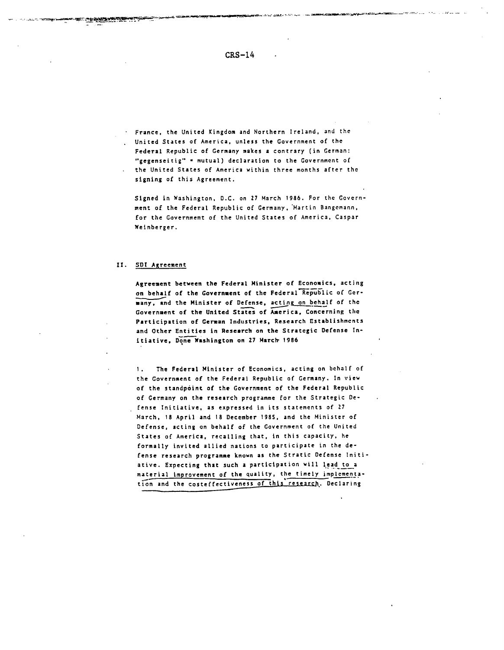France, the United Kingdom and Northern Ireland, and the United States of America, unless the Government of the Federal Republic of Germany makes a contrary (in German: "gegenseitig" = mutual) declaration to the Government of the United States of America within three months after the signing of this Agreement.

Signed in Washington, D.C. on 27 March 1986. For the Government of the Federal Republic of Germany, Martin Bangemann, for the Government of the United States of America, Caspar Weinberger.

### II. **SDI** Agreement

Agreement between the Federal Minister of Economics, acting on behalf of the Government of the Federal Republic of Germany, and the Minister of Defense, acting on behalf of the Government of the United States of America, Concerning the Participation of German Industries, Research Establishments and Other Entities in Research on the Strategic Defense Initiative, Done Washington on 27 March 1986

1. The Federal Minister of Economics, acting on behalf of the Government of the Federal Republic of Germany. In view of the standpoint of the Government of the Federal Republic of Germany on the research programme for the Strategic Defense Initiative, as expressed in its statements of 27 March, 18 April and 18 December 1985, and the Minister of Defense, acting on behalf of the Government of the United States of America, recalling that, in this capacity, he formally invited allied nations to participate in the defense research programme known as the Stratic Defense Initiative. Expecting that such a participation will lead to a material improvement of the quality, the timely implementation and the costeffectiveness of this research. Declaring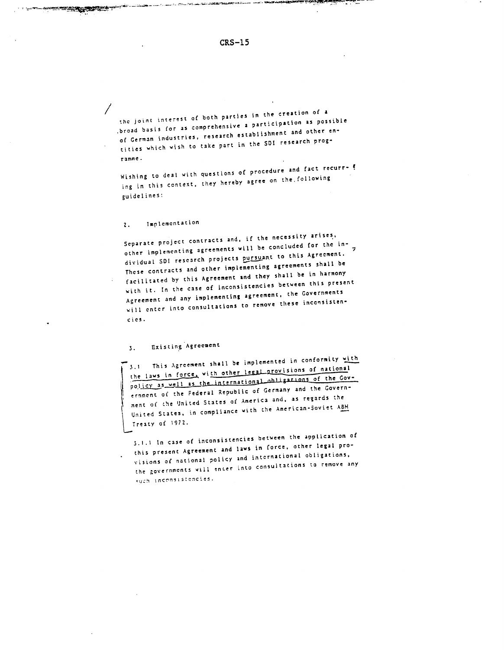$CRS-15$ 

hang and the continues of the contemporary and the contemporary and the contemporary and the contemporary and the contemporary and the contemporary and the contemporary and the contemporary and the contemporary and the con

the joint interest of both parties in the creation of a broad basis for as comprehensive a participation as possible of German industries, research establishment and other entities which wish to take part in the SDI research programme.

Wishing to deal with questions of procedure and fact recurring in this context, they hereby agree on the following guidelines:

#### Implementation  $\mathbf{2}$ .

Separate project contracts and, if the necessity arises, . other implementing agreements will be concluded for the  $\ln \frac{1}{2}$ dividual SDI research projects pursuant to this Agreement. These contracts and other implementing agreements shall be facilitated by this Agreement and they shall be in harmony with it. In the case of inconsistencies between this present Agreement and any implementing agreement, the Governments will enter into consultations to remove these inconsistencies.

#### Existing Agreement  $3.$

3.1 This Agreement shall be implemented in conformity with the laws in force, with other legal provisions of national policy as well as the international obligations of the Government of the Federal Republic of Germany and the Government of the United States of America and, as regards the United States, in compliance with the American-Soviet ABM Treaty of 1972.

3.1.1 In case of inconsistencies between the application of this present Agreement and laws in force, other legal provisions of national policy and international obligations, the governments will enter into consultations to remove any such inconsistencies.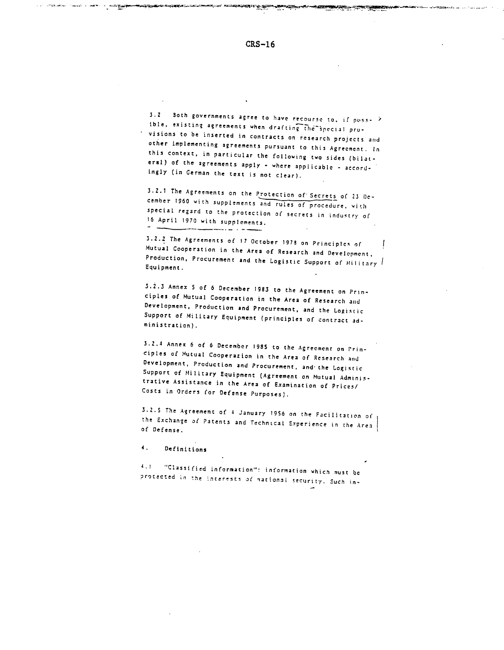أنقر المتعمقة

3.2 Soth governments agree to have recourse to, if poss- 2 ible, existing agreements when drafting the special provisions to be inserted in contracts on research projects and other implementing agreements pursuant to this Agreement. In this context, in particular the following two sides (bilateral) of the agreements apply - where applicable - accordingly (in German the text is not clear).

3.2.1 The Agreements on the Protection of Secrets of 23 December 1960 with supplements and rules of procedure, with special regard to the protection of secrets in industry of 16 April 1970 with supplements. وساء بالمرومسة

3.2.2 The Agreements of 17 October 1978 on Principles of Mutual Cooperation in the Area of Research and Development, Production, Procurement and the Logistic Support of Military Equipment.

3.2.3 Annex 5 of 6 December 1983 to the Agreement on Principles of Mutual Cooperation in the Area of Research and Development, Production and Procurement, and the Logistic Support of Military Equipment (principles of contract administration).

3.2.4 Annex 6 of 6 December 1985 to the Agreement on Principles of Mutual Cooperation in the Area of Research and Development, Production and Procurement, and the Logistic Support of Military Equipment (Agreement on Mutual Administrative Assistance in the Area of Examination of Prices/ Costs in Orders for Defense Purposes).

3.2.5 The Agreement of 4 January 1956 on the Facilitation of the Exchange of Patents and Technical Experience in the Area of Defense.

 $\ddot{\bullet}$ . Definitions

and are also come a series of the paper

4.1 "Classified information": information which must be protected in the interests of national security. Such in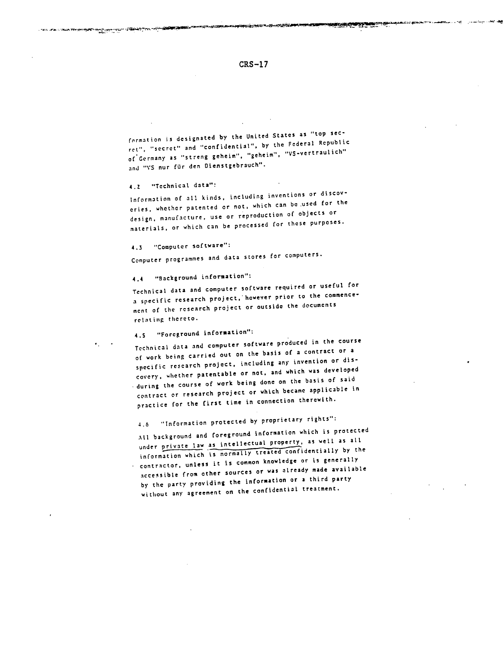**CRS-17**

*S-L* ....-. .+-i---· . - -

formation is designated by the United States as "top secret", "secret" and "confidential", by the Federal Republic of Germany as "streng geheim", "geheim", "VS-vertraulich" and "VS nur für den Dienstgebrauch".

4.Z "Technical data":

ve zavoje izgatnikog izgelicijom izgatele staten.<br>.

Information of all kinds, including inventions or discoveries, whether patented or not, which can be.used for the design, manufacture, use or reproduction of objects or materials, or which can be processed for these purposes.

4.3 "Computer software":

Computer programmes and data stores for computers.

4.4 "Background information":

Technical data and computer software required or useful for a specific research project,'however prior to the commencement of the research project or outside the documents relating thereto.

4.5 "Foreground information":

Technical data and computer software produced in the course of work being carried out on the basis of a contract or <sup>a</sup> specific research project, including any invention or discovery, whether patentable or not, and which was developed during the course of work being done on the basis of said contract or research project or which became applicable in practice for the first time in connection therewith.

4.6 "Information protected by proprietary rights":

All background and foreground information which is protected under private law as intellectual property, as well as all information which is normally treated confidentially by the contractor, unless it Is common knowledge or is generally accessible from other sources or was already made available by the party providing the information or a third party without any agreement on the confidential treatment.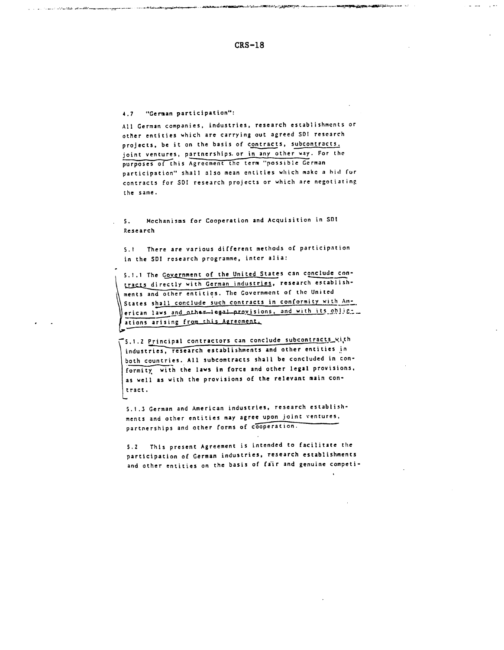$CRS-18$ 

**SALES PRODUCTS IN THE SALE** 

 $\alpha_{\rm eff}$  and

 $\omega = \omega$  and  $\omega$ 

#### "German participation":  $4.7$

.<br>پایان انجاز <mark>در دولت با باش</mark>ت که در در در است در سوچ در باش

ومقتومين معاوضا المواديات والرابل

All German companies, industries, research establishments or other entities which are carrying out agreed SDI research projects, be it on the basis of contracts, subcontracts, joint ventures, partnerships or in any other way. For the purposes of this Agreement the term "possible German participation" shall also mean entities which make a hid for contracts for SDI research projects or which are negotiating the same.

Mcchanisms for Cooperation and Acquisition in SDI  $S_{\infty}$ Research

5.1 There are various different methods of participation in the SDI research programme, inter alia:

5.1.1 The Government of the United States can conclude contracts directly with German industries, research establishments and other entities. The Government of the United States shall conclude such contracts in conformity with American laws and other legal provisions, and with its oblig \_\_ ations arising from this Agreement.

S.1.2 Principal contractors can conclude subcontracts with industries, research establishments and other entities in both countries. All subcontracts shall be concluded in conformity with the laws in force and other legal provisions, as well as with the provisions of the relevant main contract.

5.1.3 German and American industries, research establishments and other entities may agree upon joint ventures, partnerships and other forms of cooperation.

5.2 This present Agreement is intended to facilitate the participation of German industries, research establishments and other entities on the basis of fair and genuine competi-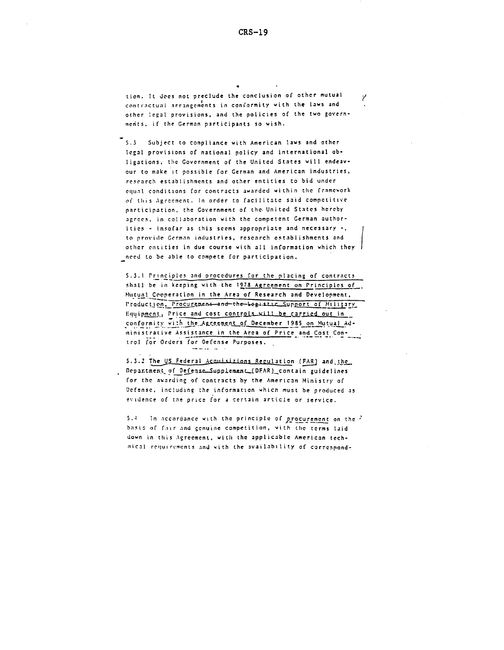Ÿ

tion. It does not preclude the conclusion of other mutual contractual arrangements in conformity with the laws and other legal provisions, and the policies of the two governments, if the German participants so wish.

5.3 Subject to compliance with American laws and other legal provisions of national policy and international obligations, the Government of the United States will endeavour to make it possible for German and American industries, research establishments and other entities to bid under equal conditions for contracts awarded within the framcwork of this Agreement. In order to facilitate said competitive participation, the Government of the. United States hereby agrees, in collaboration with the competent German authorities - insofar as this seems appropriate and necessary -, to provide German industries, research establishments and other entities in due course with all information which they need to be able to compete for participation.

5.3.1 Principles and procedures for the placing of contracts shall be in keeping with the **1978** Agreement on Principles of Mutual Cooperation in the Area of Research and Development. Production, Procurement-and-the-begistic Support of Military Equipment. Price and cost controls will be carried out in conformity with the Agreement of December 1985 on Mutual Administrative Assistance in the Area of Price and Cost Control for Orders for Defense Purposes.

5.3.2 The US Federal Acquisitions Regulation (FAR) and the Department of Defense.Supplement (DFAR)\_contain guidelines for the awarding of contracts by the American Ministry of Defense, including the information whicn must be produced as evidence of tne price for a certain article or service.

5.4 In accordance with the principle of procurement on the  $\ell$ basis of fair and genuine competition, with the terms laid down in this Agreement, with the applicable American technical requirements and with the availability of correspond-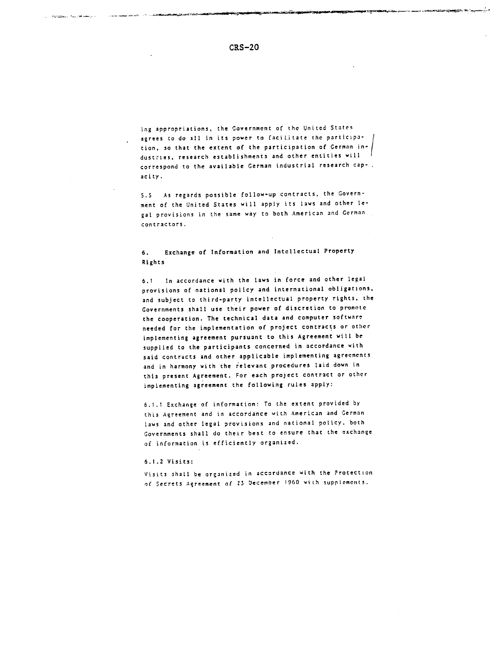ing appropriations, the Government of the United States agrees to do **all** in its power to Cacil.itate the participation, so that the extent of the participation of German industries, research establishments and other entities will correspond to the available German industrial research capacity.

S.5 As regards possible follow-up contracts, the Government of the United States will apply its laws and other legal provisions in the same way to both American and German contractors.

# 6. Exchange of Information and Intellectual Property Rights

6.1 In accordance with the laws in force and other legal provisions of national policy and international obligations, and subject to third-party intellectual property rights, the Governments shall use their power of discretion to promote the cooperation. The technical data and computer software needed for the implementation of project contracts or other implementing agreement pursuant to this Agreement will be supplied to the participants concerned in accordance with said contracts and other applicable implementing agreements and in harmony with the relevant procedures laid down in this present Agreement. For each project contract or other implementing agreement the following rules apply:

6.1.1 Exchange of information: To the extent provided by this Agreement and in accordance with American and German laws and other legal provisions and national policy, both Governments shall do their best to ensure that the exchange of information is efficiently organized.

#### 6.1.2 Visits:

Visits shall be organized in accordance with the Protection of Secrets Agreement of 23 'ecemoer 1960 with supplements.

**CONSTRUCTION OF A STATE OF A REAL PROPERTY** 

*i~- uLsl~~m-r6jll~~jL* -- \*----,-- r i~sc---l·.\_ -- -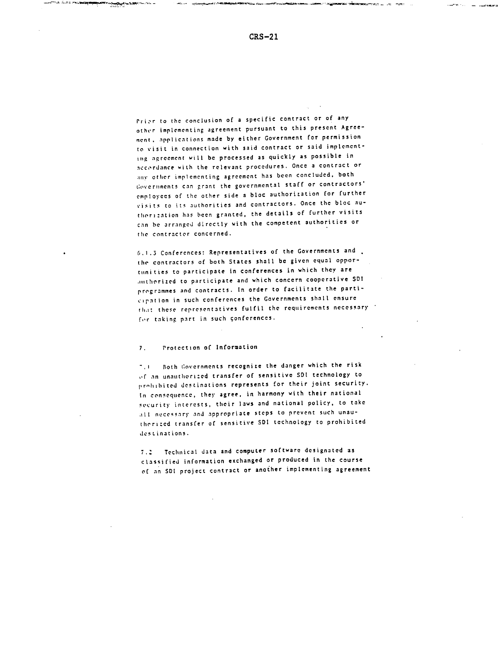sansan Live (net

come non concentrations

Prior to the conclusion of a specific contract or of any other implementing agreement pursuant to this present Agreement, applications made by either Government for permission to visit in connection with said contract or said implementing agreement will be processed as quickly as possible in accordance with the relevant procedures. Once a contract or any other implementing agreement has been concluded, both governmentss can grant the governmental staff or contractors' employees of the other side a bloc authorization for further visits to its authorities and contractors. Once the bloc authori:ation has been granted, the details of further visits can he arranged directly with the competent authorities or the contractor concerned.

6.1.3 Conferences: Representatives of the Governments and the contractors of both States shall be given equal opportunities to participate in conferences in which they are .githorized to participate and which concern cooperative SD! programmes and contracts. In order to facilitate the participation in such conferences the Governments shall ensure th.i: these representatives fulfil the requirements necessary for taking part in such conferences.

#### 7. Protection of Information

**The Pure in Law** 

**".1** Both Governments recognize the danger which the risk orf an unulthori:ed transfer of sensitive SDI technology to prohibited destinations represents for their joint security. In consequence, they agree, in harmony with their national security interests, their laws and national policy, to take all necessary and appropriate steps to prevent such unautherizcd transfer of sensitive **SDI** technology to prohibited destinations.

**7.\*** Technical data and computer software designated as classified information exchanged or produced in the course of an SDI project contract or another implementing agreement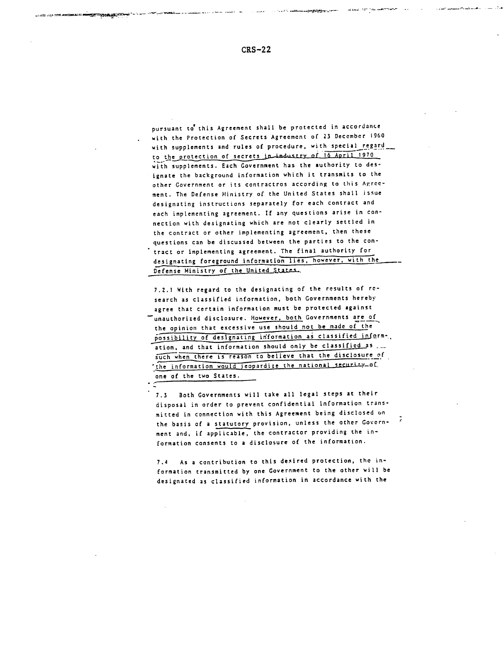pursuant to' this Agreement shall be protected in accordance with the Protection of Secrets Agreement of 23 December 1960 with supplements and rules of procedure, with special regard to the protection of secrets in industry of 16 April 1970 with supplements. Each Government has the authority to designate the background information which it transmits to the other Government or its contractros according to this Agrccment. The Defense Ministry of the United States shall issue designating instructions separately for each contract and each implementing agreement. If any questions arise in connection with designating which are not clearly settled in the contract or other implementing agreement, then these questions can be discussed between the parties to the contract or implementing agreement. The final authority for designating foreground information lies, however, with the *\_* Defense Ministry of the United States.

7.2.1 With regard to the designating of the results of research as classified information, both Governments hereby agree that certain information must be protected against unauthorized disclosure. However, both Governments are of the opinion that excessive use should not be made of the possibility of designating information as classified inform-. ation, and that information should only be classified as... such when there is reason to believe that the disclosure of the information would jeopardize the national security of one of the two States.

7.3 Both Governments will take all legal steps at their disposal in order to prevent confidential information transmitted in connection with this Agreement being disclosed on the basis of a statutory provision, unless the other Government and, if applicable, the contractor providing the information consents to a disclosure of the information.

7.4 As a contribution to this desired protection, the information transmitted by one Government to the other will be designated as classified information in accordance with the

-. **··** - -. - . - -- - - - - -. **.---,- f--i-,** .-. - --.- ,- ---- - -

الأنبار والمحصوم ومحتضر المقامل المتحاول المتعاونين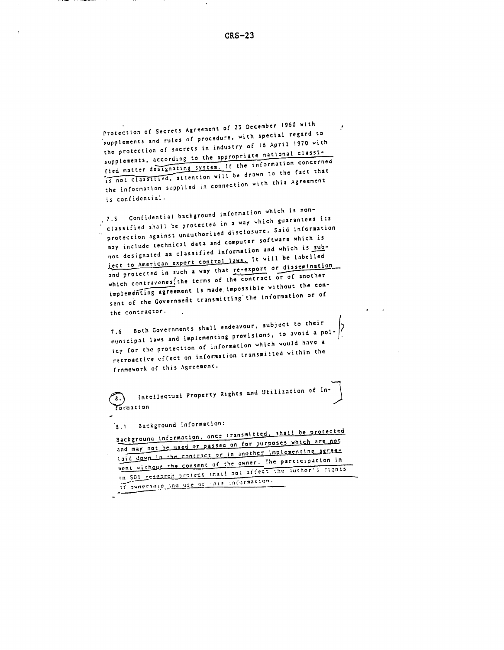Protection of Secrets Agreement of 23 December 1960 with supplements and rules of procedure, with special regard to the protection of secrets in industry of 16 April 1970 with supplements, according to the appropriate national classified matter designating system. If the information concerned is not classified, attention will be drawn to the fact that the information supplied in connection with this Agreement is confidential.

7.5 Confidential background information which is nonclassified shall be protected in a way which guarantees its protection against unauthorized disclosure. Said information may include technical data and computer software which is not designated as classified information and which is subject to American export control laws. It will be labelled and protected in such a way that re-export or dissemination which contravenes the terms of the contract or of another implementing agreement is made impossible without the consent of the Government transmitting the information or of the contractor.

7.6 Both Governments shall endeavour, subject to their municipal laws and implementing provisions, to avoid a policy for the protection of information which would have a retroactive effect on information transmitted within the framework of this Agreement.

Intellectual Property Rights and Utilization of In-Formation

Background Information:  $3.1$ 

Background information, once transmitted, shall be protected and may not be used or passed on for purposes which are not laid down in the contract or in another implementing agreement without the consent of the owner. The participation in an SDI research project shall not affect the author's rights at awnership and use of this information.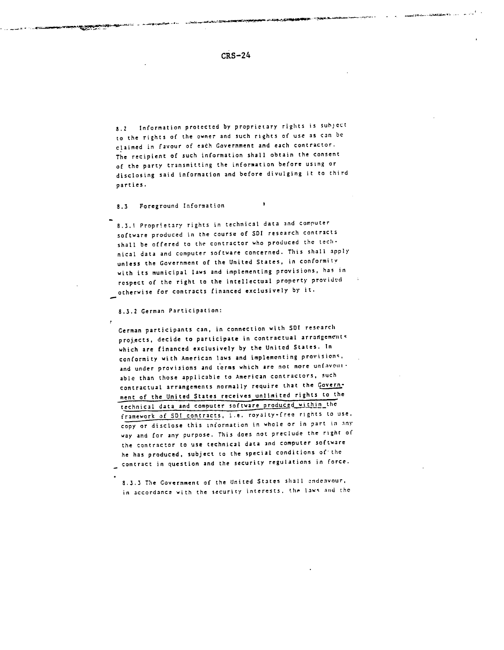*8.2* Information protected by proprietary rights is subject to the rights of the owner and such rights of use as can be claimed in favour of each Government and each contractor. The recipient of such information shall obtain the consent of the party transmitting the information before using or disclosing said information and before divulging it to third parties.

8.3 Foreground Information

- - - - - -

8.3.1 Proprietary rights in technical data and computer software produced in the course of SDI research contracts shall be offered to the contractor who produced the technical data and computer software concerned. This shall apply unless the Government of the United States, in conformity with its municipal laws and implementing provisions, has in respect of the right to the intellectual property provided otherwise for contracts financed exclusively by it.

8.3.2 German Participation:

 $\cdot$ 

German participants can, in connection with **SDI** research projects, decide to participate in contractual arrangements which are financed exclusively by the United States. In conformity with American laws and implementing provisions. and under provisions and terms which are not more unfavotiable than those applicable to American contractors, such contractual arrangements normally require that the Government of the United States receives unlimited rights to the technical data and computer software produced within the framework of **SDI** contracts, i.e. royalty-free rights to use, copy or disclose this information in whole or in part in any way and for any purpose. This does not preclude the right of the contractor to use technical data and computer software he has produced, subject to the special conditions of the contract in question and the security regulations in force.

8.3.3 The Government of the United States shall endenvour, in accordance with the security interests. the laws and the

. -. \_ -- -- - - - - S .

**I .**

.<br>Самын нар<del>ын арман ба</del>лган тоосон байга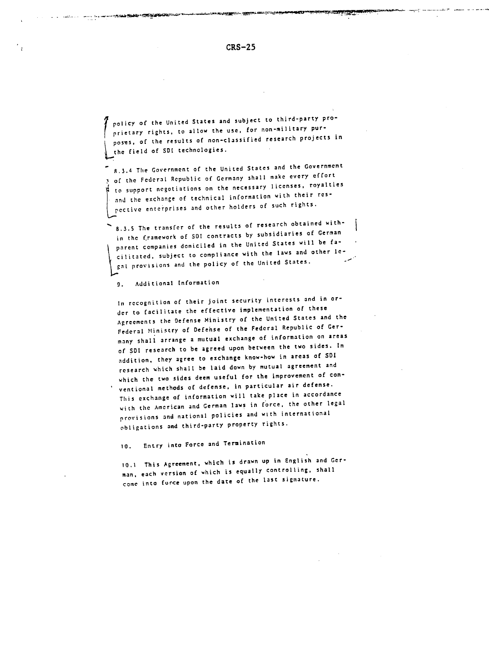--'~--^--- III~--T~"IC · --- LI·

policy of the United States and subject to third-party proprietary rights, to allow the use, for non-military purposes, of the results of non-classified research projects in the field of SDI technologies.

8.3.4 The Government of the United States and the Government of the Federal Republic of Germany shall make every effort to support negotiations on the necessary licenses, royalties and the exchange of technical information with their respective enterprises and other holders of such rights.

8.3.5 The transfer of the results of research obtained within the framework of SDI contracts by subsidiaries of German parent companies domiciled in the United States will be facilitated, subject to compliance with the laws and other legal provisions and the policy of the United States.

9. Additional Information

In recognition of their joint security interests and in order to facilitate the effective implementation of these Agreements the Defense Ministry of the United States and the Federal Ministry of Defehse of the Federal Republic of Germany shall arrange a mutual exchange of information on areas of SDI research to be agreed upon between the two sides. In addition, they agree to exchange know-how in areas of SDI research which shall be laid down by mutual agreement and which the two sides deem useful for the improvement of conventional methods of defense, in particular air defense. This exchange of information will take place in accordance with the American and German laws in force, the other legal provisions and national policies and with international obligations and third-party property rights.

10. Entry into Force and Termination

10.1 This Agreement, which is drawn up in English and German, each version of which is equally controlling, shall come into force upon the date of the last signature.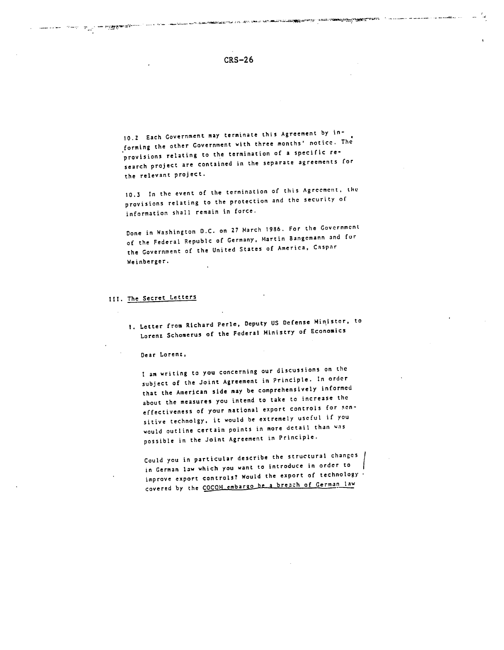10.2 Each Government may terminate this Agreement by informing the other Government with three months' notice. The provisions relating to the termination of a specific research project are contained in the separate agreements for the relevant project.

10.3 In the event of the termination of this Agreement. the provisions relating to the protection and the security of information shall remain in force.

Done in Washington D.C. on 27 March 1986. For the Government of the Federal Republc of Germany, Martin Bangemann and for the Government of the United States of America, Caspar Weinberger.

# **III.** The Secret Letters

**1.** Letter from Richard Perle, Deputy US Defense Minister, to Lorenz Schomerus of the Federal Ministry of Economics

Dear Lorent,

I am writing to you concerning our discussions on the subject of the Joint Agreement in Principle. In order that the American side may be comprehensively informed about the measures you intend to take to increase the effectiveness of your national export controls for sensitive technolgy, it would be extremely useful if you would outline certain points in more detail than was possible in the Joint Agreement in Principle.

Could you in particular describe the structural changes in German law which you want to introduce in order to improve export controls? Would the export of technology covered by the COCOM embargo be a breach of German law

بالمتناسب والمستعمل والمستنقذات

ിന്റെ പുരൂപിന്റെ ആളുത്തിയിലെന്ന് പറപ്പിന്റെ പക്ഷേപിക്കുകയും മാത്രം പ്രവേശനക്ഷേപിക്കുകയും പ്രവേശനക്ഷേപിക്കുന്നു<br>പുരുവിന്റെ പുരൂപിന്റെ പുരൂപിന്റെ പ്രവേശനക്ഷേപിക്കുന്ന പ്രവേശനക്ഷേപിക്കുന്ന പ്രവേശനക്ഷേപിക്കുന്ന പ്രവേശനക്ഷേപിക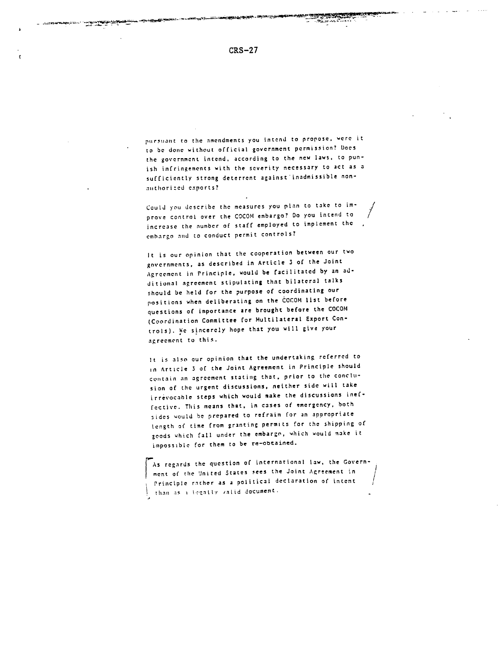pursuant to the amendments you intend to propose, were it to be done without official government permission? Does the government intend, according to the new laws, to punish infringements with the severity necessary to act as a sufficiently strong deterrent against inadmissible nonauthorized exports?

Could you describe the measures you plan to take to improve control over the COCOM embargo? Do you intend to increase the number of staff employed to implement the embargo and to conduct permit controls?

It is our opinion that the cooperation between our two governments, as described in Article 3 of the Joint Agreement in Principle, would be facilitated by an additional agreement stipulating that bilateral talks should be held for the purpose of coordinating our positions when deliberating on the COCOM list before questions of importance are brought before the COCOM (Coordination Committee for Multilateral Export Controls). We sincerely hope that you will give your agreement to this.

It is also our opinion that the undertaking referred to in Article 3 of the Joint Agreement in Principle should contain an agreement stating that, prior to the conclusion of the urgent discussions, neither side will take irrevocable steps which would make the discussions ineffective. This means that, in cases of emergency, both sides would be prepared to refrain for an appropriate length of time from granting permits for the shipping of goods which fall under the embargo, which would make it impossible for them to be re-obtained.

As regards the question of international law, the Government of the United States sees the Joint Agreement in Principle rather as a political declaration of intent than as a legally valid document.